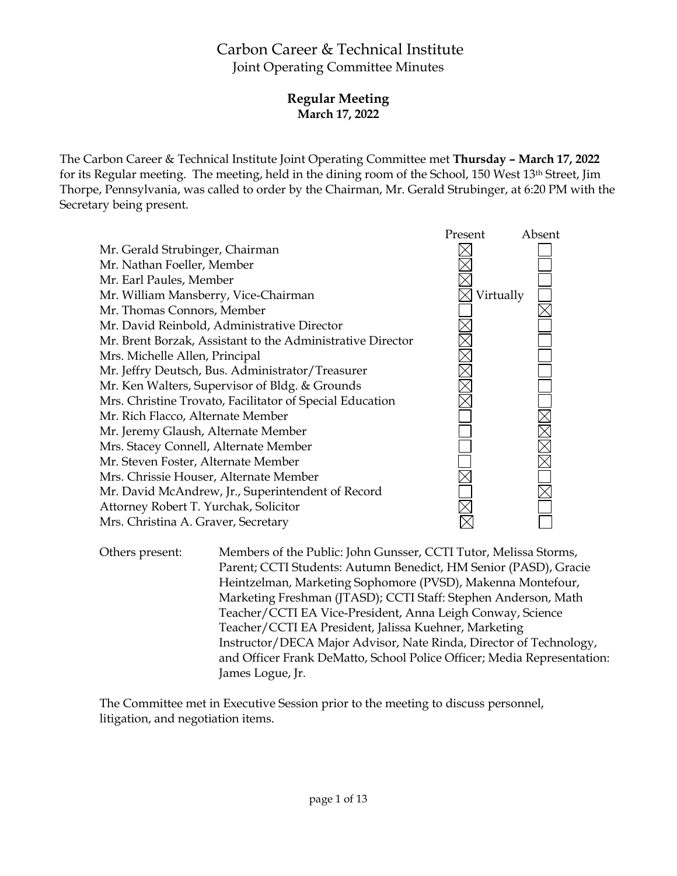# Carbon Career & Technical Institute Joint Operating Committee Minutes

# **Regular Meeting March 17, 2022**

The Carbon Career & Technical Institute Joint Operating Committee met **Thursday – March 17, 2022** for its Regular meeting. The meeting, held in the dining room of the School, 150 West 13th Street, Jim Thorpe, Pennsylvania, was called to order by the Chairman, Mr. Gerald Strubinger, at 6:20 PM with the Secretary being present.



Others present: Members of the Public: John Gunsser, CCTI Tutor, Melissa Storms, Parent; CCTI Students: Autumn Benedict, HM Senior (PASD), Gracie Heintzelman, Marketing Sophomore (PVSD), Makenna Montefour, Marketing Freshman (JTASD); CCTI Staff: Stephen Anderson, Math Teacher/CCTI EA Vice-President, Anna Leigh Conway, Science Teacher/CCTI EA President, Jalissa Kuehner, Marketing Instructor/DECA Major Advisor, Nate Rinda, Director of Technology, and Officer Frank DeMatto, School Police Officer; Media Representation: James Logue, Jr.

The Committee met in Executive Session prior to the meeting to discuss personnel, litigation, and negotiation items.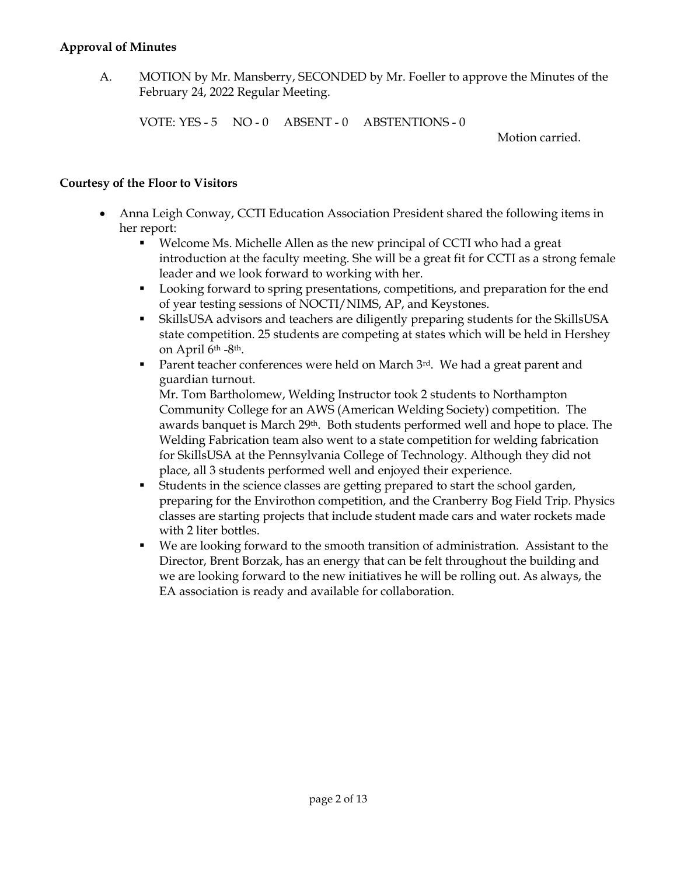#### **Approval of Minutes**

A. MOTION by Mr. Mansberry, SECONDED by Mr. Foeller to approve the Minutes of the February 24, 2022 Regular Meeting.

VOTE: YES - 5 NO - 0 ABSENT - 0 ABSTENTIONS - 0

Motion carried.

## **Courtesy of the Floor to Visitors**

- Anna Leigh Conway, CCTI Education Association President shared the following items in her report:
	- Welcome Ms. Michelle Allen as the new principal of CCTI who had a great introduction at the faculty meeting. She will be a great fit for CCTI as a strong female leader and we look forward to working with her.
	- Looking forward to spring presentations, competitions, and preparation for the end of year testing sessions of NOCTI/NIMS, AP, and Keystones.
	- SkillsUSA advisors and teachers are diligently preparing students for the SkillsUSA state competition. 25 students are competing at states which will be held in Hershey on April 6th -8th.
	- Parent teacher conferences were held on March 3rd. We had a great parent and guardian turnout.

Mr. Tom Bartholomew, Welding Instructor took 2 students to Northampton Community College for an AWS (American Welding Society) competition. The awards banquet is March 29<sup>th</sup>. Both students performed well and hope to place. The Welding Fabrication team also went to a state competition for welding fabrication for SkillsUSA at the Pennsylvania College of Technology. Although they did not place, all 3 students performed well and enjoyed their experience.

- Students in the science classes are getting prepared to start the school garden, preparing for the Envirothon competition, and the Cranberry Bog Field Trip. Physics classes are starting projects that include student made cars and water rockets made with 2 liter bottles.
- We are looking forward to the smooth transition of administration. Assistant to the Director, Brent Borzak, has an energy that can be felt throughout the building and we are looking forward to the new initiatives he will be rolling out. As always, the EA association is ready and available for collaboration.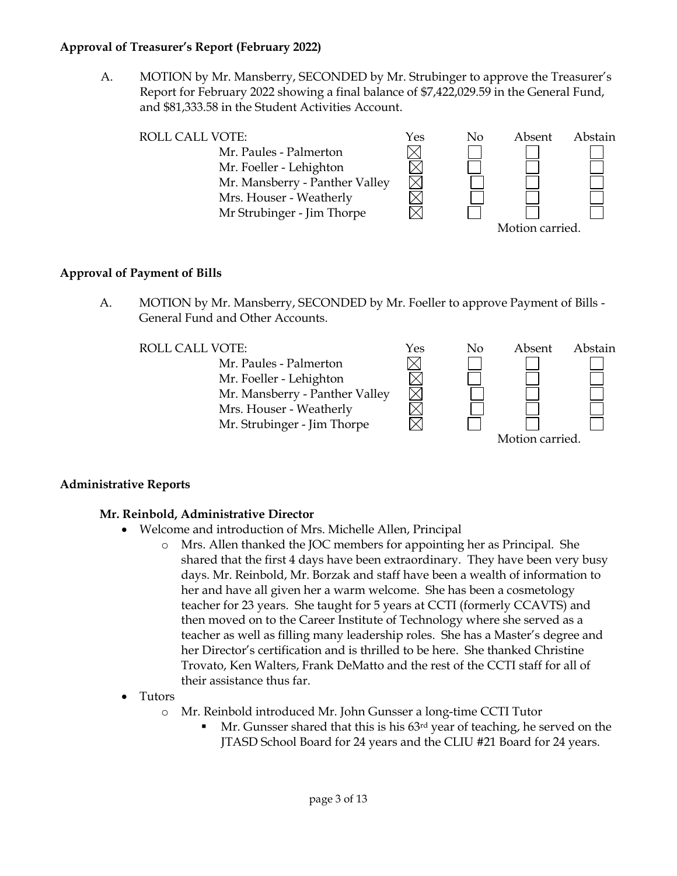## **Approval of Treasurer's Report (February 2022)**

A. MOTION by Mr. Mansberry, SECONDED by Mr. Strubinger to approve the Treasurer's Report for February 2022 showing a final balance of \$7,422,029.59 in the General Fund, and \$81,333.58 in the Student Activities Account.



# **Approval of Payment of Bills**

A. MOTION by Mr. Mansberry, SECONDED by Mr. Foeller to approve Payment of Bills - General Fund and Other Accounts.



# **Administrative Reports**

# **Mr. Reinbold, Administrative Director**

- Welcome and introduction of Mrs. Michelle Allen, Principal
	- o Mrs. Allen thanked the JOC members for appointing her as Principal. She shared that the first 4 days have been extraordinary. They have been very busy days. Mr. Reinbold, Mr. Borzak and staff have been a wealth of information to her and have all given her a warm welcome. She has been a cosmetology teacher for 23 years. She taught for 5 years at CCTI (formerly CCAVTS) and then moved on to the Career Institute of Technology where she served as a teacher as well as filling many leadership roles. She has a Master's degree and her Director's certification and is thrilled to be here. She thanked Christine Trovato, Ken Walters, Frank DeMatto and the rest of the CCTI staff for all of their assistance thus far.
- Tutors
	- o Mr. Reinbold introduced Mr. John Gunsser a long-time CCTI Tutor
		- Mr. Gunsser shared that this is his 63rd year of teaching, he served on the JTASD School Board for 24 years and the CLIU #21 Board for 24 years.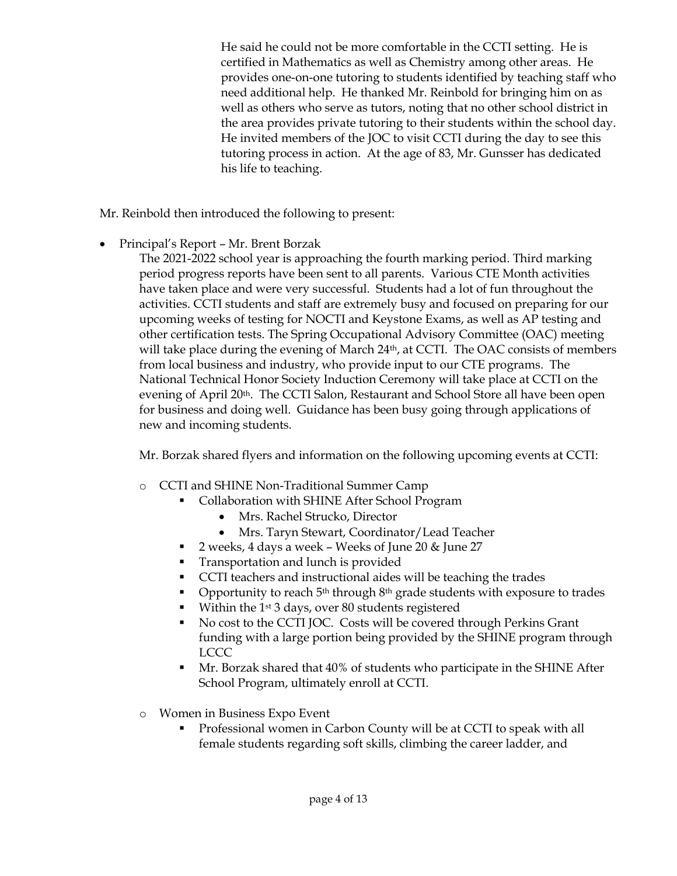He said he could not be more comfortable in the CCTI setting. He is certified in Mathematics as well as Chemistry among other areas. He provides one-on-one tutoring to students identified by teaching staff who need additional help. He thanked Mr. Reinbold for bringing him on as well as others who serve as tutors, noting that no other school district in the area provides private tutoring to their students within the school day. He invited members of the JOC to visit CCTI during the day to see this tutoring process in action. At the age of 83, Mr. Gunsser has dedicated his life to teaching.

Mr. Reinbold then introduced the following to present:

- Principal's Report Mr. Brent Borzak
	- The 2021-2022 school year is approaching the fourth marking period. Third marking period progress reports have been sent to all parents. Various CTE Month activities have taken place and were very successful. Students had a lot of fun throughout the activities. CCTI students and staff are extremely busy and focused on preparing for our upcoming weeks of testing for NOCTI and Keystone Exams, as well as AP testing and other certification tests. The Spring Occupational Advisory Committee (OAC) meeting will take place during the evening of March 24<sup>th</sup>, at CCTI. The OAC consists of members from local business and industry, who provide input to our CTE programs. The National Technical Honor Society Induction Ceremony will take place at CCTI on the evening of April 20<sup>th</sup>. The CCTI Salon, Restaurant and School Store all have been open for business and doing well. Guidance has been busy going through applications of new and incoming students.

Mr. Borzak shared flyers and information on the following upcoming events at CCTI:

- o CCTI and SHINE Non-Traditional Summer Camp
	- **Collaboration with SHINE After School Program** 
		- Mrs. Rachel Strucko, Director
		- Mrs. Taryn Stewart, Coordinator/Lead Teacher
	- 2 weeks, 4 days a week Weeks of June 20 & June 27
	- **Transportation and lunch is provided**
	- CCTI teachers and instructional aides will be teaching the trades
	- **•** Opportunity to reach  $5<sup>th</sup>$  through  $8<sup>th</sup>$  grade students with exposure to trades
	- $\blacksquare$  Within the 1<sup>st</sup> 3 days, over 80 students registered
	- No cost to the CCTI JOC. Costs will be covered through Perkins Grant funding with a large portion being provided by the SHINE program through LCCC
	- Mr. Borzak shared that 40% of students who participate in the SHINE After School Program, ultimately enroll at CCTI.
- o Women in Business Expo Event
	- Professional women in Carbon County will be at CCTI to speak with all female students regarding soft skills, climbing the career ladder, and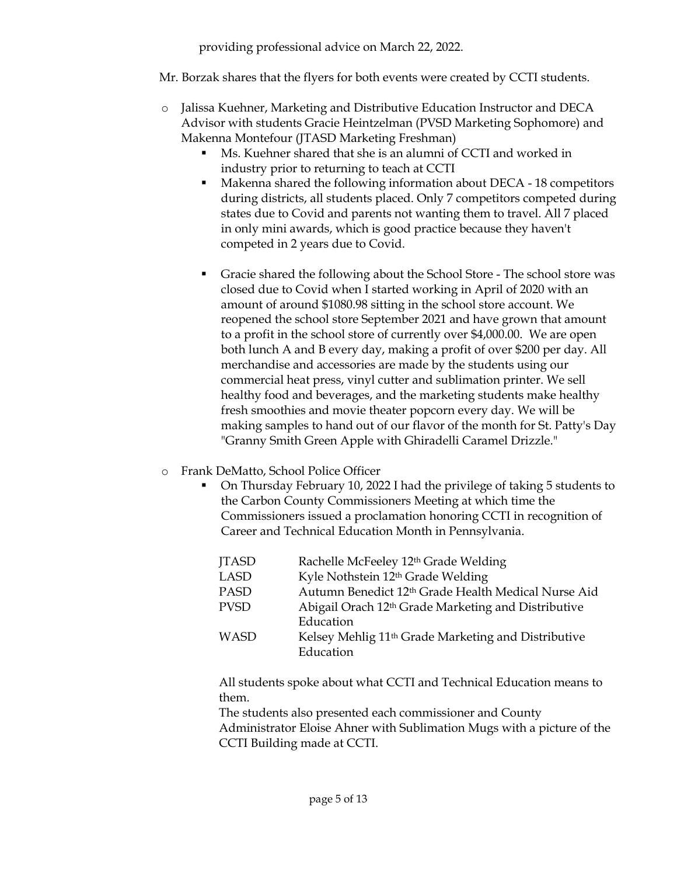providing professional advice on March 22, 2022.

Mr. Borzak shares that the flyers for both events were created by CCTI students.

- o Jalissa Kuehner, Marketing and Distributive Education Instructor and DECA Advisor with students Gracie Heintzelman (PVSD Marketing Sophomore) and Makenna Montefour (JTASD Marketing Freshman)
	- Ms. Kuehner shared that she is an alumni of CCTI and worked in industry prior to returning to teach at CCTI
	- Makenna shared the following information about DECA 18 competitors during districts, all students placed. Only 7 competitors competed during states due to Covid and parents not wanting them to travel. All 7 placed in only mini awards, which is good practice because they haven't competed in 2 years due to Covid.
	- Gracie shared the following about the School Store The school store was closed due to Covid when I started working in April of 2020 with an amount of around \$1080.98 sitting in the school store account. We reopened the school store September 2021 and have grown that amount to a profit in the school store of currently over \$4,000.00. We are open both lunch A and B every day, making a profit of over \$200 per day. All merchandise and accessories are made by the students using our commercial heat press, vinyl cutter and sublimation printer. We sell healthy food and beverages, and the marketing students make healthy fresh smoothies and movie theater popcorn every day. We will be making samples to hand out of our flavor of the month for St. Patty's Day "Granny Smith Green Apple with Ghiradelli Caramel Drizzle."
- o Frank DeMatto, School Police Officer
	- On Thursday February 10, 2022 I had the privilege of taking 5 students to the Carbon County Commissioners Meeting at which time the Commissioners issued a proclamation honoring CCTI in recognition of Career and Technical Education Month in Pennsylvania.

| <b>JTASD</b> | Rachelle McFeeley 12th Grade Welding                            |
|--------------|-----------------------------------------------------------------|
| <b>LASD</b>  | Kyle Nothstein 12th Grade Welding                               |
| <b>PASD</b>  | Autumn Benedict 12th Grade Health Medical Nurse Aid             |
| <b>PVSD</b>  | Abigail Orach 12 <sup>th</sup> Grade Marketing and Distributive |
|              | Education                                                       |
| <b>WASD</b>  | Kelsey Mehlig 11 <sup>th</sup> Grade Marketing and Distributive |
|              | Education                                                       |

All students spoke about what CCTI and Technical Education means to them.

The students also presented each commissioner and County Administrator Eloise Ahner with Sublimation Mugs with a picture of the CCTI Building made at CCTI.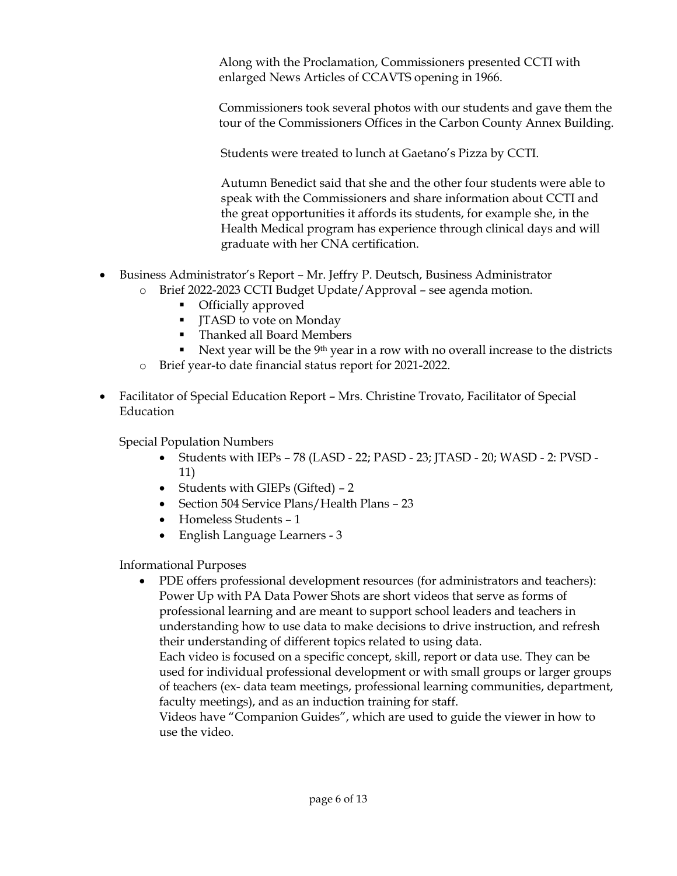Along with the Proclamation, Commissioners presented CCTI with enlarged News Articles of CCAVTS opening in 1966.

Commissioners took several photos with our students and gave them the tour of the Commissioners Offices in the Carbon County Annex Building.

Students were treated to lunch at Gaetano's Pizza by CCTI.

Autumn Benedict said that she and the other four students were able to speak with the Commissioners and share information about CCTI and the great opportunities it affords its students, for example she, in the Health Medical program has experience through clinical days and will graduate with her CNA certification.

- Business Administrator's Report Mr. Jeffry P. Deutsch, Business Administrator o Brief 2022-2023 CCTI Budget Update/Approval – see agenda motion.
	- - Officially approved
		- **IFASD** to vote on Monday
		- Thanked all Board Members
	- Next year will be the 9<sup>th</sup> year in a row with no overall increase to the districts
	- o Brief year-to date financial status report for 2021-2022.
- Facilitator of Special Education Report Mrs. Christine Trovato, Facilitator of Special Education

Special Population Numbers

- Students with IEPs 78 (LASD 22; PASD 23; JTASD 20; WASD 2: PVSD 11)
- Students with GIEPs (Gifted) 2
- Section 504 Service Plans/Health Plans 23
- Homeless Students 1
- English Language Learners 3

Informational Purposes

 PDE offers professional development resources (for administrators and teachers): Power Up with PA Data Power Shots are short videos that serve as forms of professional learning and are meant to support school leaders and teachers in understanding how to use data to make decisions to drive instruction, and refresh their understanding of different topics related to using data.

Each video is focused on a specific concept, skill, report or data use. They can be used for individual professional development or with small groups or larger groups of teachers (ex- data team meetings, professional learning communities, department, faculty meetings), and as an induction training for staff.

Videos have "Companion Guides", which are used to guide the viewer in how to use the video.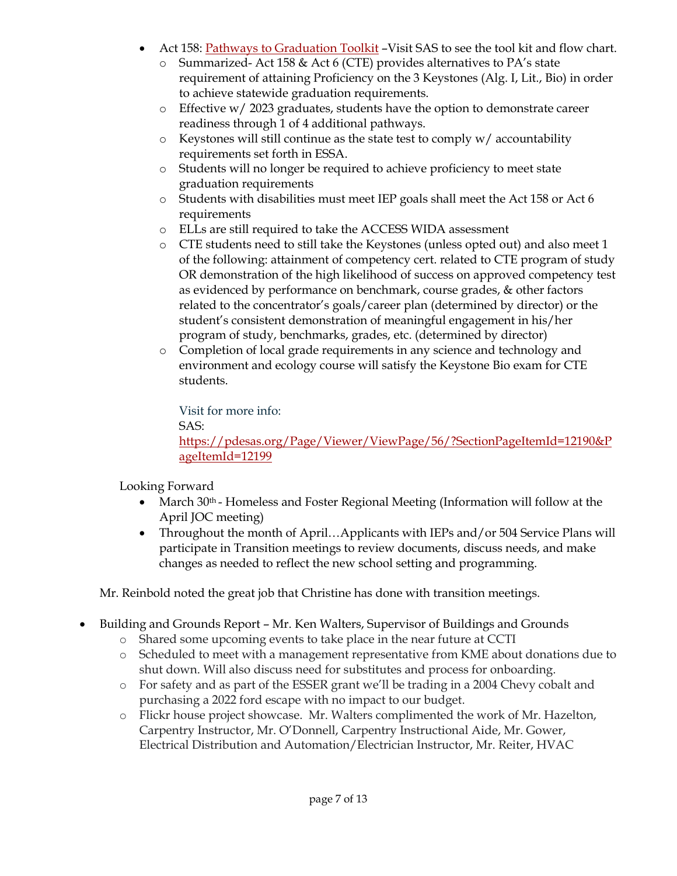- Act 158: [Pathways to Graduation Toolkit](https://pdesas.org/Page/Viewer/ViewPage/56/?SectionPageItemId=12190&PageItemId=12199) -Visit SAS to see the tool kit and flow chart.
	- o Summarized- Act 158 & Act 6 (CTE) provides alternatives to PA's state requirement of attaining Proficiency on the 3 Keystones (Alg. I, Lit., Bio) in order to achieve statewide graduation requirements.
	- o Effective w/ 2023 graduates, students have the option to demonstrate career readiness through 1 of 4 additional pathways.
	- o Keystones will still continue as the state test to comply w/ accountability requirements set forth in ESSA.
	- o Students will no longer be required to achieve proficiency to meet state graduation requirements
	- o Students with disabilities must meet IEP goals shall meet the Act 158 or Act 6 requirements
	- o ELLs are still required to take the ACCESS WIDA assessment
	- o CTE students need to still take the Keystones (unless opted out) and also meet 1 of the following: attainment of competency cert. related to CTE program of study OR demonstration of the high likelihood of success on approved competency test as evidenced by performance on benchmark, course grades, & other factors related to the concentrator's goals/career plan (determined by director) or the student's consistent demonstration of meaningful engagement in his/her program of study, benchmarks, grades, etc. (determined by director)
	- o Completion of local grade requirements in any science and technology and environment and ecology course will satisfy the Keystone Bio exam for CTE students.

Visit for more info: SAS: [https://pdesas.org/Page/Viewer/ViewPage/56/?SectionPageItemId=12190&P](https://pdesas.org/Page/Viewer/ViewPage/56/?SectionPageItemId=12190&PageItemId=12199) [ageItemId=12199](https://pdesas.org/Page/Viewer/ViewPage/56/?SectionPageItemId=12190&PageItemId=12199)

Looking Forward

- March 30<sup>th</sup> Homeless and Foster Regional Meeting (Information will follow at the April JOC meeting)
- Throughout the month of April...Applicants with IEPs and/or 504 Service Plans will participate in Transition meetings to review documents, discuss needs, and make changes as needed to reflect the new school setting and programming.

Mr. Reinbold noted the great job that Christine has done with transition meetings.

- Building and Grounds Report Mr. Ken Walters, Supervisor of Buildings and Grounds
	- o Shared some upcoming events to take place in the near future at CCTI
	- o Scheduled to meet with a management representative from KME about donations due to shut down. Will also discuss need for substitutes and process for onboarding.
	- o For safety and as part of the ESSER grant we'll be trading in a 2004 Chevy cobalt and purchasing a 2022 ford escape with no impact to our budget.
	- o Flickr house project showcase. Mr. Walters complimented the work of Mr. Hazelton, Carpentry Instructor, Mr. O'Donnell, Carpentry Instructional Aide, Mr. Gower, Electrical Distribution and Automation/Electrician Instructor, Mr. Reiter, HVAC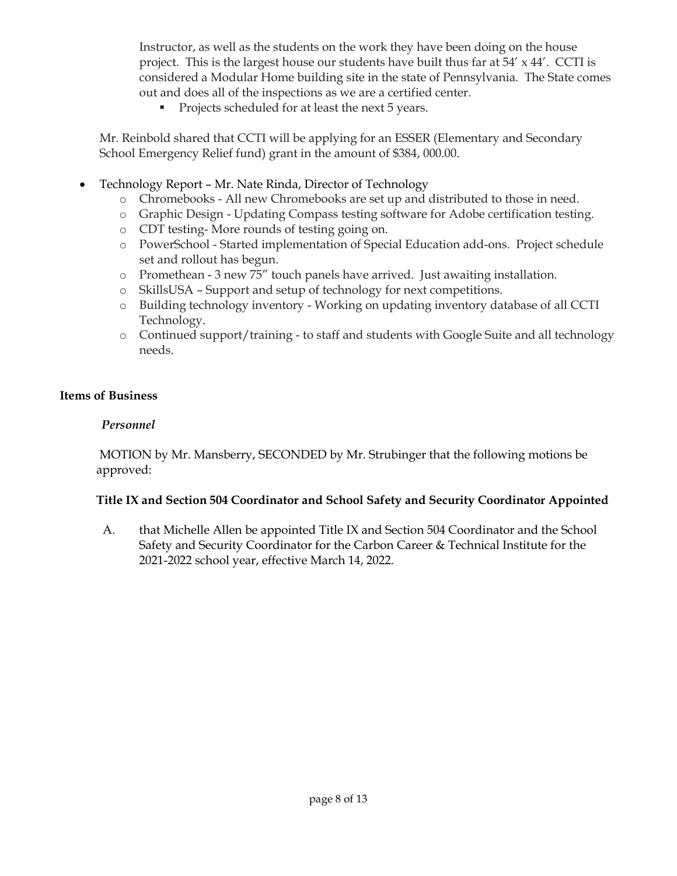Instructor, as well as the students on the work they have been doing on the house project. This is the largest house our students have built thus far at  $54' \times 44'$ . CCTI is considered a Modular Home building site in the state of Pennsylvania. The State comes out and does all of the inspections as we are a certified center.

**Projects scheduled for at least the next 5 years.** 

Mr. Reinbold shared that CCTI will be applying for an ESSER (Elementary and Secondary School Emergency Relief fund) grant in the amount of \$384, 000.00.

- Technology Report Mr. Nate Rinda, Director of Technology
	- o Chromebooks All new Chromebooks are set up and distributed to those in need.
	- o Graphic Design Updating Compass testing software for Adobe certification testing.
	- o CDT testing- More rounds of testing going on.
	- o PowerSchool Started implementation of Special Education add-ons. Project schedule set and rollout has begun.
	- o Promethean 3 new 75" touch panels have arrived. Just awaiting installation.
	- o SkillsUSA Support and setup of technology for next competitions.
	- o Building technology inventory Working on updating inventory database of all CCTI Technology.
	- o Continued support/training to staff and students with Google Suite and all technology needs.

# **Items of Business**

# *Personnel*

MOTION by Mr. Mansberry, SECONDED by Mr. Strubinger that the following motions be approved:

# **Title IX and Section 504 Coordinator and School Safety and Security Coordinator Appointed**

A. that Michelle Allen be appointed Title IX and Section 504 Coordinator and the School Safety and Security Coordinator for the Carbon Career & Technical Institute for the 2021-2022 school year, effective March 14, 2022.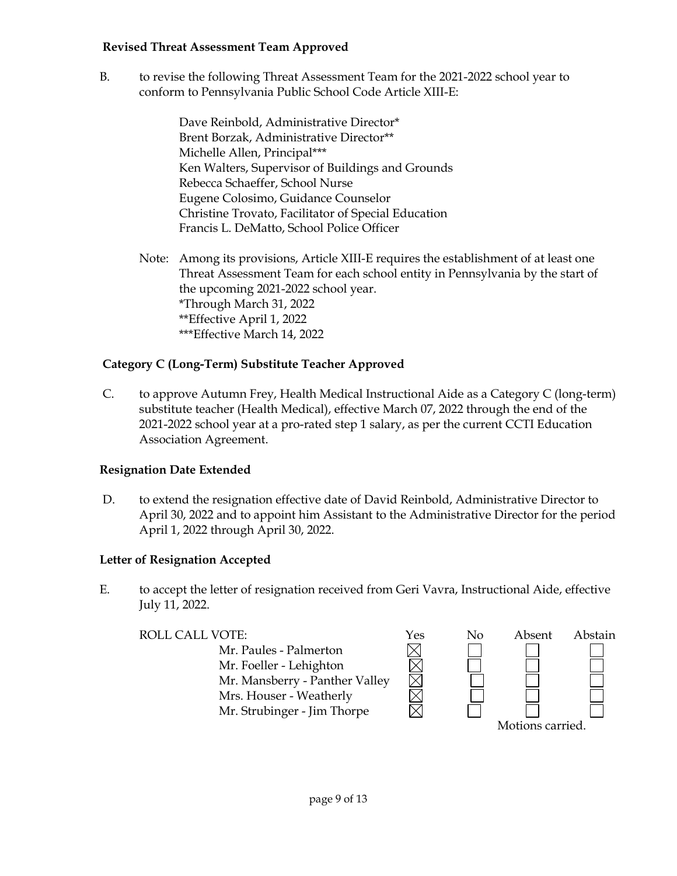## **Revised Threat Assessment Team Approved**

B. to revise the following Threat Assessment Team for the 2021-2022 school year to conform to Pennsylvania Public School Code Article XIII-E:

> Dave Reinbold, Administrative Director\* Brent Borzak, Administrative Director\*\* Michelle Allen, Principal\*\*\* Ken Walters, Supervisor of Buildings and Grounds Rebecca Schaeffer, School Nurse Eugene Colosimo, Guidance Counselor Christine Trovato, Facilitator of Special Education Francis L. DeMatto, School Police Officer

Note: Among its provisions, Article XIII-E requires the establishment of at least one Threat Assessment Team for each school entity in Pennsylvania by the start of the upcoming 2021-2022 school year. \*Through March 31, 2022 \*\*Effective April 1, 2022 \*\*\*Effective March 14, 2022

# **Category C (Long-Term) Substitute Teacher Approved**

C. to approve Autumn Frey, Health Medical Instructional Aide as a Category C (long-term) substitute teacher (Health Medical), effective March 07, 2022 through the end of the 2021-2022 school year at a pro-rated step 1 salary, as per the current CCTI Education Association Agreement.

# **Resignation Date Extended**

D. to extend the resignation effective date of David Reinbold, Administrative Director to April 30, 2022 and to appoint him Assistant to the Administrative Director for the period April 1, 2022 through April 30, 2022.

# **Letter of Resignation Accepted**

E. to accept the letter of resignation received from Geri Vavra, Instructional Aide, effective July 11, 2022.

| ROLL CALL VOTE:                | Yes | No | Absent | Abstain |
|--------------------------------|-----|----|--------|---------|
| Mr. Paules - Palmerton         |     |    |        |         |
| Mr. Foeller - Lehighton        |     |    |        |         |
| Mr. Mansberry - Panther Valley |     |    |        |         |
| Mrs. Houser - Weatherly        |     |    |        |         |
| Mr. Strubinger - Jim Thorpe    |     |    |        |         |
| Motions carried.               |     |    |        |         |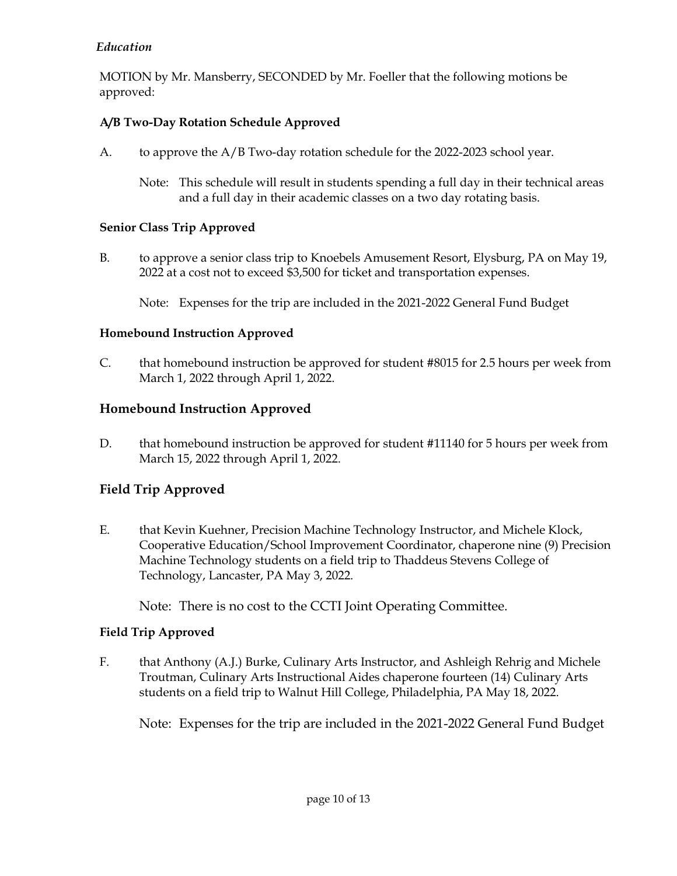# *Education*

MOTION by Mr. Mansberry, SECONDED by Mr. Foeller that the following motions be approved:

# **A/B Two-Day Rotation Schedule Approved**

- A. to approve the A/B Two-day rotation schedule for the 2022-2023 school year.
	- Note: This schedule will result in students spending a full day in their technical areas and a full day in their academic classes on a two day rotating basis.

# **Senior Class Trip Approved**

B. to approve a senior class trip to Knoebels Amusement Resort, Elysburg, PA on May 19, 2022 at a cost not to exceed \$3,500 for ticket and transportation expenses.

Note: Expenses for the trip are included in the 2021-2022 General Fund Budget

# **Homebound Instruction Approved**

C. that homebound instruction be approved for student #8015 for 2.5 hours per week from March 1, 2022 through April 1, 2022.

# **Homebound Instruction Approved**

D. that homebound instruction be approved for student #11140 for 5 hours per week from March 15, 2022 through April 1, 2022.

# **Field Trip Approved**

E. that Kevin Kuehner, Precision Machine Technology Instructor, and Michele Klock, Cooperative Education/School Improvement Coordinator, chaperone nine (9) Precision Machine Technology students on a field trip to Thaddeus Stevens College of Technology, Lancaster, PA May 3, 2022.

Note: There is no cost to the CCTI Joint Operating Committee.

# **Field Trip Approved**

F. that Anthony (A.J.) Burke, Culinary Arts Instructor, and Ashleigh Rehrig and Michele Troutman, Culinary Arts Instructional Aides chaperone fourteen (14) Culinary Arts students on a field trip to Walnut Hill College, Philadelphia, PA May 18, 2022.

Note: Expenses for the trip are included in the 2021-2022 General Fund Budget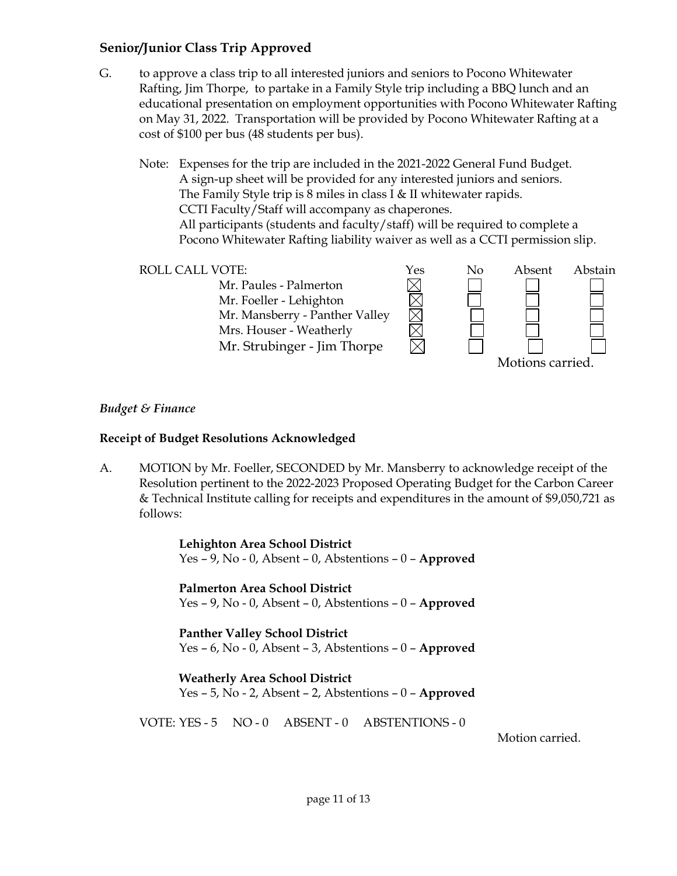# **Senior/Junior Class Trip Approved**

G. to approve a class trip to all interested juniors and seniors to Pocono Whitewater Rafting, Jim Thorpe, to partake in a Family Style trip including a BBQ lunch and an educational presentation on employment opportunities with Pocono Whitewater Rafting on May 31, 2022. Transportation will be provided by Pocono Whitewater Rafting at a cost of \$100 per bus (48 students per bus).

Note: Expenses for the trip are included in the 2021-2022 General Fund Budget. A sign-up sheet will be provided for any interested juniors and seniors. The Family Style trip is 8 miles in class I & II whitewater rapids. CCTI Faculty/Staff will accompany as chaperones. All participants (students and faculty/staff) will be required to complete a Pocono Whitewater Rafting liability waiver as well as a CCTI permission slip.



#### *Budget & Finance*

#### **Receipt of Budget Resolutions Acknowledged**

A. MOTION by Mr. Foeller, SECONDED by Mr. Mansberry to acknowledge receipt of the Resolution pertinent to the 2022-2023 Proposed Operating Budget for the Carbon Career & Technical Institute calling for receipts and expenditures in the amount of \$9,050,721 as follows:

> **Lehighton Area School District** Yes – 9, No - 0, Absent – 0, Abstentions – 0 – **Approved**

> **Palmerton Area School District** Yes – 9, No - 0, Absent – 0, Abstentions – 0 – **Approved**

> **Panther Valley School District** Yes – 6, No - 0, Absent – 3, Abstentions – 0 – **Approved**

> **Weatherly Area School District** Yes – 5, No - 2, Absent – 2, Abstentions – 0 – **Approved**

VOTE: YES - 5 NO - 0 ABSENT - 0 ABSTENTIONS - 0

Motion carried.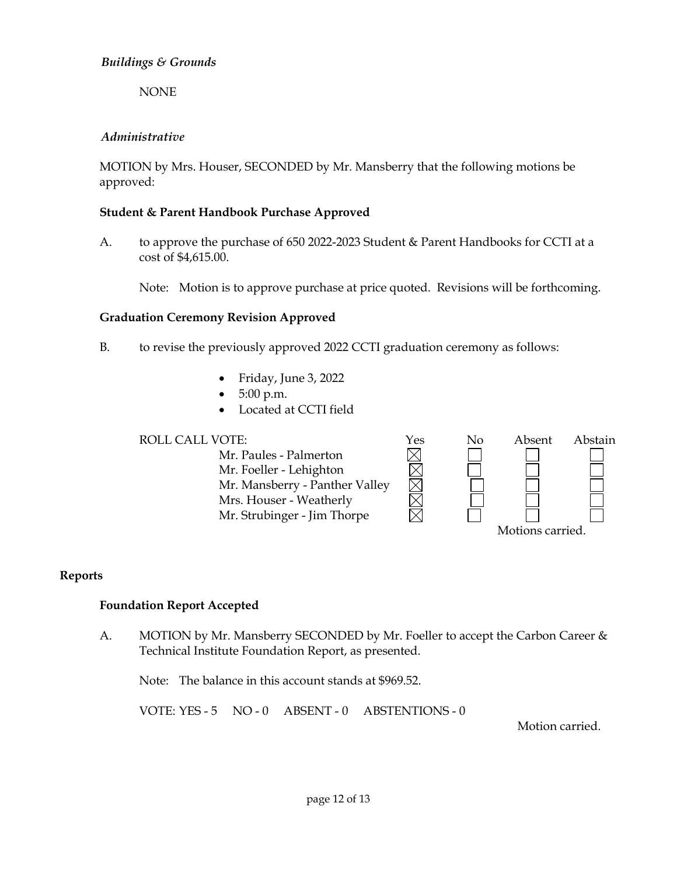## *Buildings & Grounds*

NONE

# *Administrative*

MOTION by Mrs. Houser, SECONDED by Mr. Mansberry that the following motions be approved:

# **Student & Parent Handbook Purchase Approved**

A. to approve the purchase of 650 2022-2023 Student & Parent Handbooks for CCTI at a cost of \$4,615.00.

Note: Motion is to approve purchase at price quoted. Revisions will be forthcoming.

## **Graduation Ceremony Revision Approved**

- B. to revise the previously approved 2022 CCTI graduation ceremony as follows:
	- Friday, June 3, 2022
	- 5:00 p.m.
	- Located at CCTI field

ROLL CALL VOTE:<br>
Mr. Paules - Palmerton<br>
Mr. Foeller - Lehighton<br>
Mr. Mansberry - Panther Valley Mr. Paules - Palmerton Mr. Foeller - Lehighton Mr. Mansberry - Panther Valley Mrs. Houser - Weatherly Mr. Strubinger - Jim Thorpe



# **Reports**

#### **Foundation Report Accepted**

A. MOTION by Mr. Mansberry SECONDED by Mr. Foeller to accept the Carbon Career & Technical Institute Foundation Report, as presented.

Note: The balance in this account stands at \$969.52.

VOTE: YES - 5 NO - 0 ABSENT - 0 ABSTENTIONS - 0

Motion carried.